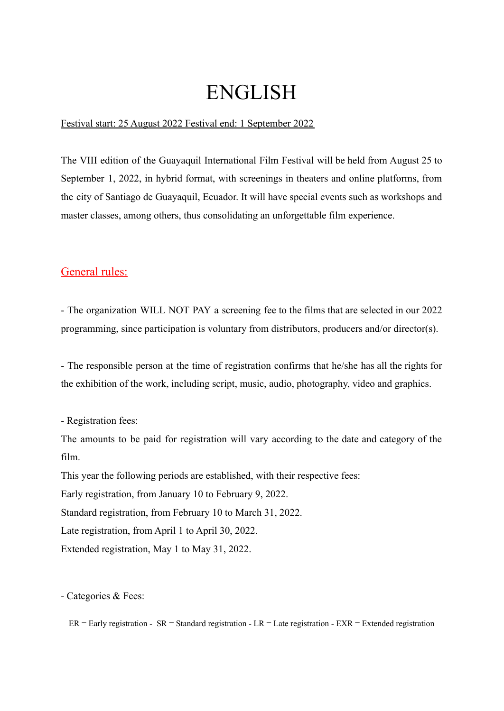# ENGLISH

# Festival start: 25 August 2022 Festival end: 1 September 2022

The VIII edition of the Guayaquil International Film Festival will be held from August 25 to September 1, 2022, in hybrid format, with screenings in theaters and online platforms, from the city of Santiago de Guayaquil, Ecuador. It will have special events such as workshops and master classes, among others, thus consolidating an unforgettable film experience.

# General rules:

- The organization WILL NOT PAY a screening fee to the films that are selected in our 2022 programming, since participation is voluntary from distributors, producers and/or director(s).

- The responsible person at the time of registration confirms that he/she has all the rights for the exhibition of the work, including script, music, audio, photography, video and graphics.

- Registration fees:

The amounts to be paid for registration will vary according to the date and category of the film.

This year the following periods are established, with their respective fees:

Early registration, from January 10 to February 9, 2022.

Standard registration, from February 10 to March 31, 2022.

Late registration, from April 1 to April 30, 2022.

Extended registration, May 1 to May 31, 2022.

- Categories & Fees:

 $ER =$  Early registration -  $SR =$  Standard registration -  $LR =$  Late registration -  $EXR =$  Extended registration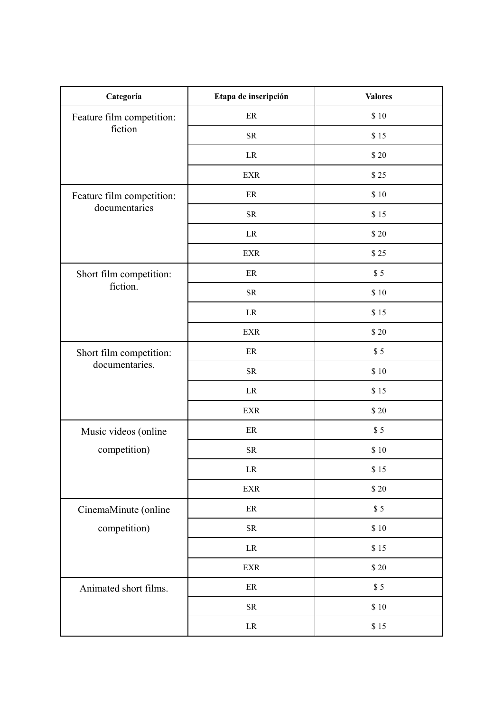| Categoría                                  | Etapa de inscripción | <b>Valores</b> |
|--------------------------------------------|----------------------|----------------|
| Feature film competition:<br>fiction       | $\rm ER$             | \$10           |
|                                            | ${\rm SR}$           | \$15           |
|                                            | $\rm LR$             | \$20           |
|                                            | <b>EXR</b>           | \$25           |
| Feature film competition:<br>documentaries | $\rm ER$             | \$10           |
|                                            | ${\rm SR}$           | \$15           |
|                                            | $\rm LR$             | \$20           |
|                                            | <b>EXR</b>           | \$25           |
| Short film competition:<br>fiction.        | $\rm ER$             | $\$$ $5$       |
|                                            | <b>SR</b>            | \$10           |
|                                            | $\rm LR$             | \$15           |
|                                            | <b>EXR</b>           | \$20           |
| Short film competition:<br>documentaries.  | $\rm ER$             | \$5            |
|                                            | ${\rm SR}$           | \$10           |
|                                            | $\rm LR$             | \$15           |
|                                            | <b>EXR</b>           | \$20           |
| Music videos (online<br>competition)       | ER                   | \$5            |
|                                            | ${\rm SR}$           | \$10           |
|                                            | $\rm LR$             | \$15           |
|                                            | <b>EXR</b>           | \$20           |
| CinemaMinute (online<br>competition)       | $\rm ER$             | \$5            |
|                                            | ${\rm SR}$           | \$10           |
|                                            | $\rm LR$             | \$15           |
|                                            | <b>EXR</b>           | \$20           |
| Animated short films.                      | $\rm ER$             | \$5            |
|                                            | ${\rm SR}$           | \$10           |
|                                            | $\rm LR$             | \$15           |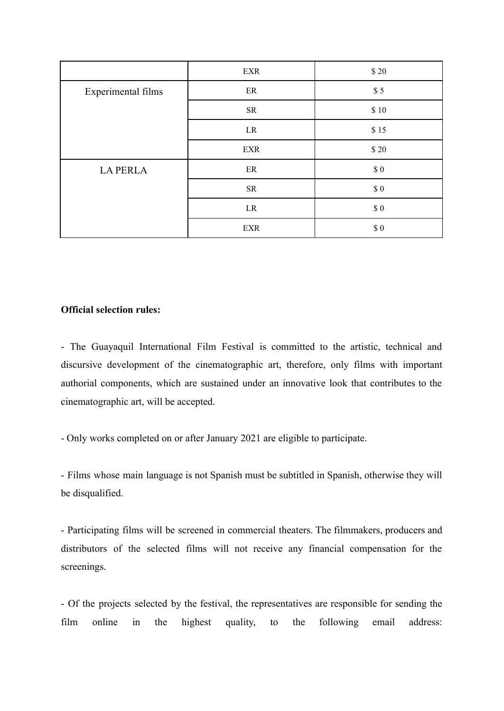|                    | EXR        | $$20$  |
|--------------------|------------|--------|
| Experimental films | ER         | \$5    |
|                    | <b>SR</b>  | \$10   |
|                    | LR         | \$15   |
|                    | EXR        | $$20$  |
| <b>LA PERLA</b>    | ER         | $\$$ 0 |
|                    | <b>SR</b>  | $\$$ 0 |
|                    | LR         | $\$$ 0 |
|                    | <b>EXR</b> | $\$$ 0 |

# **Official selection rules:**

- The Guayaquil International Film Festival is committed to the artistic, technical and discursive development of the cinematographic art, therefore, only films with important authorial components, which are sustained under an innovative look that contributes to the cinematographic art, will be accepted.

- Only works completed on or after January 2021 are eligible to participate.

- Films whose main language is not Spanish must be subtitled in Spanish, otherwise they will be disqualified.

- Participating films will be screened in commercial theaters. The filmmakers, producers and distributors of the selected films will not receive any financial compensation for the screenings.

- Of the projects selected by the festival, the representatives are responsible for sending the film online in the highest quality, to the following email address: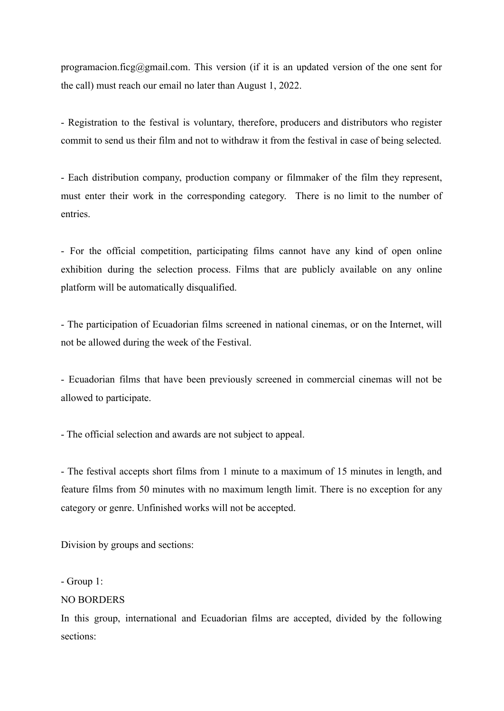programacion.ficg@gmail.com. This version (if it is an updated version of the one sent for the call) must reach our email no later than August 1, 2022.

- Registration to the festival is voluntary, therefore, producers and distributors who register commit to send us their film and not to withdraw it from the festival in case of being selected.

- Each distribution company, production company or filmmaker of the film they represent, must enter their work in the corresponding category. There is no limit to the number of entries.

- For the official competition, participating films cannot have any kind of open online exhibition during the selection process. Films that are publicly available on any online platform will be automatically disqualified.

- The participation of Ecuadorian films screened in national cinemas, or on the Internet, will not be allowed during the week of the Festival.

- Ecuadorian films that have been previously screened in commercial cinemas will not be allowed to participate.

- The official selection and awards are not subject to appeal.

- The festival accepts short films from 1 minute to a maximum of 15 minutes in length, and feature films from 50 minutes with no maximum length limit. There is no exception for any category or genre. Unfinished works will not be accepted.

Division by groups and sections:

- Group 1:

#### NO BORDERS

In this group, international and Ecuadorian films are accepted, divided by the following sections: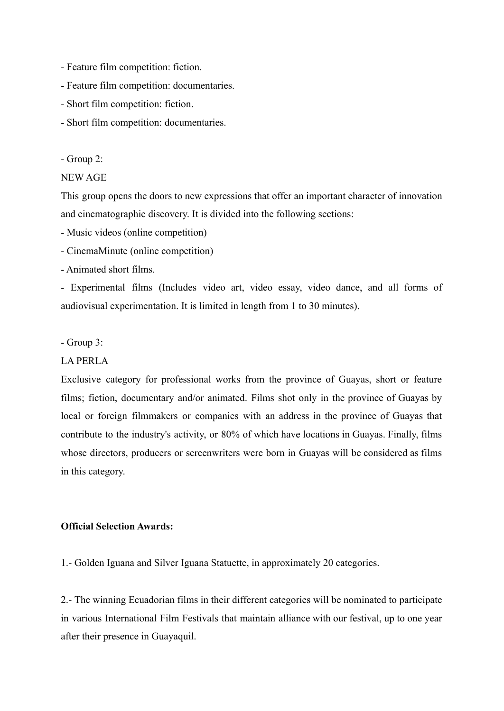- Feature film competition: fiction.
- Feature film competition: documentaries.
- Short film competition: fiction.
- Short film competition: documentaries.

- Group 2:

# NEW AGE

This group opens the doors to new expressions that offer an important character of innovation and cinematographic discovery. It is divided into the following sections:

- Music videos (online competition)
- CinemaMinute (online competition)
- Animated short films.

- Experimental films (Includes video art, video essay, video dance, and all forms of audiovisual experimentation. It is limited in length from 1 to 30 minutes).

- Group 3:

## LA PERLA

Exclusive category for professional works from the province of Guayas, short or feature films; fiction, documentary and/or animated. Films shot only in the province of Guayas by local or foreign filmmakers or companies with an address in the province of Guayas that contribute to the industry's activity, or 80% of which have locations in Guayas. Finally, films whose directors, producers or screenwriters were born in Guayas will be considered as films in this category.

## **Official Selection Awards:**

1.- Golden Iguana and Silver Iguana Statuette, in approximately 20 categories.

2.- The winning Ecuadorian films in their different categories will be nominated to participate in various International Film Festivals that maintain alliance with our festival, up to one year after their presence in Guayaquil.